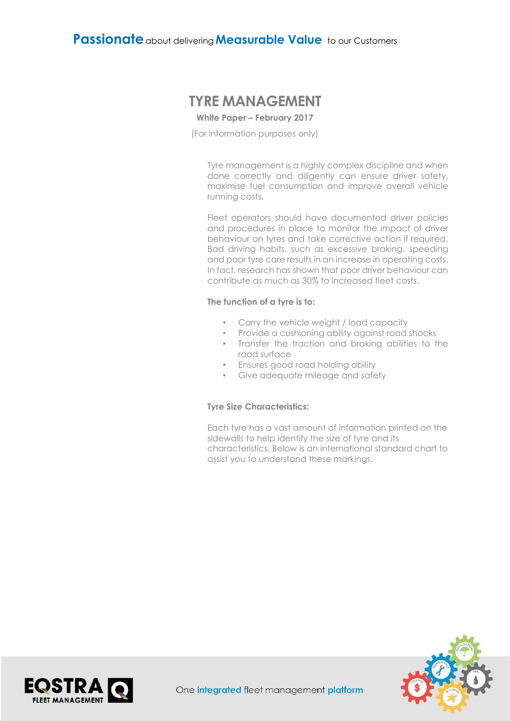# **TYRE MANAGEMENT**

#### **White Paper – February 2017**

(For information purposes only)

Tyre management is a highly complex discipline and when done correctly and diligently can ensure driver safety, maximise fuel consumption and improve overall vehicle running costs.

Fleet operators should have documented driver policies and procedures in place to monitor the impact of driver behaviour on tyres and take corrective action if required. Bad driving habits, such as excessive braking, speeding and poor tyre care results in an increase in operating costs. In fact, research has shown that poor driver behaviour can contribute as much as 30% to increased fleet costs.

#### **The function of a tyre is to:**

- Carry the vehicle weight / load capacity
- Provide a cushioning ability against road shocks
- Transfer the traction and braking abilities to the road surface
- Ensures good road holding ability
- Give adequate mileage and safety

#### **Tyre Size Characteristics:**

Each tyre has a vast amount of information printed on the sidewalls to help identify the size of tyre and its characteristics. Below is an international standard chart to assist you to understand these markings.



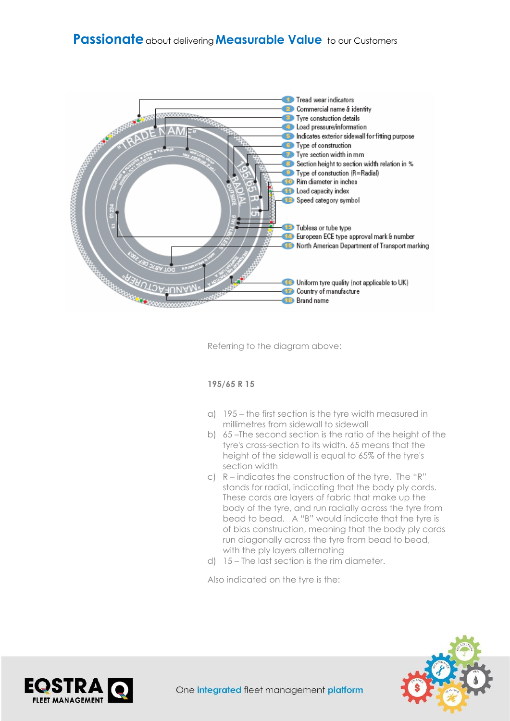# **Passionate** about delivering**Measurable Value** to our Customers



Referring to the diagram above:

# **195/65 R 15**

- a) 195 the first section is the tyre width measured in millimetres from sidewall to sidewall
- b) 65 –The second section is the ratio of the height of the tyre's cross-section to its width. 65 means that the height of the sidewall is equal to 65% of the tyre's section width
- c) R indicates the construction of the tyre. The "R" stands for radial, indicating that the body ply cords. These cords are layers of fabric that make up the body of the tyre, and run radially across the tyre from bead to bead. A "B" would indicate that the tyre is of bias construction, meaning that the body ply cords run diagonally across the tyre from bead to bead, with the ply layers alternating
- d) 15 The last section is the rim diameter.

Also indicated on the tyre is the:



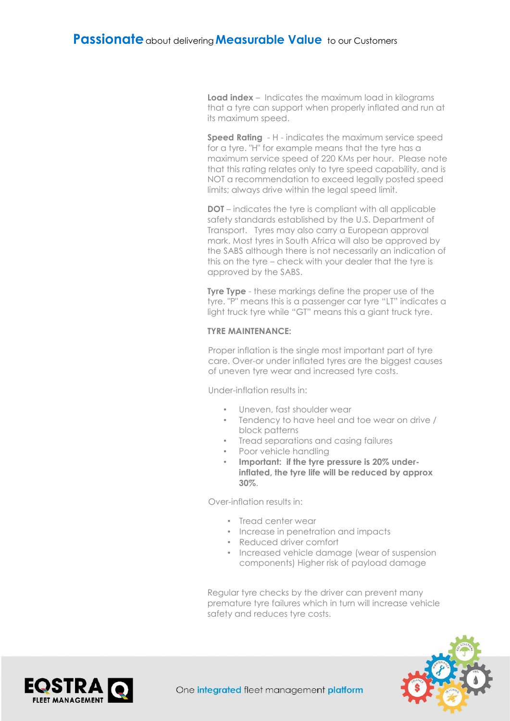**Load index** – Indicates the maximum load in kilograms that a tyre can support when properly inflated and run at its maximum speed.

**Speed Rating** - H - indicates the maximum service speed for a tyre. "H" for example means that the tyre has a maximum service speed of 220 KMs per hour. Please note that this rating relates only to tyre speed capability, and is NOT a recommendation to exceed legally posted speed limits; always drive within the legal speed limit.

**DOT** – indicates the tyre is compliant with all applicable safety standards established by the U.S. Department of Transport. Tyres may also carry a European approval mark. Most tyres in South Africa will also be approved by the SABS although there is not necessarily an indication of this on the tyre – check with your dealer that the tyre is approved by the SABS.

**Tyre Type** - these markings define the proper use of the tyre. "P" means this is a passenger car tyre "LT" indicates a light truck tyre while "GT" means this a giant truck tyre.

# **TYRE MAINTENANCE:**

Proper inflation is the single most important part of tyre care. Over-or under inflated tyres are the biggest causes of uneven tyre wear and increased tyre costs.

Under-inflation results in:

- Uneven, fast shoulder wear
- Tendency to have heel and toe wear on drive / block patterns
- Tread separations and casing failures
- Poor vehicle handling
- **Important: if the tyre pressure is 20% underinflated, the tyre life will be reduced by approx 30%**.

Over-inflation results in:

- Tread center wear
- Increase in penetration and impacts
- Reduced driver comfort
- Increased vehicle damage (wear of suspension components) Higher risk of payload damage

Regular tyre checks by the driver can prevent many premature tyre failures which in turn will increase vehicle safety and reduces tyre costs.



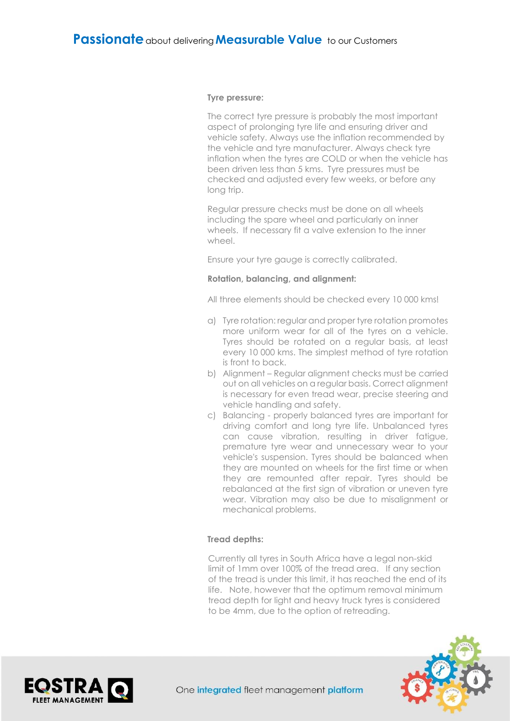#### **Tyre pressure:**

The correct tyre pressure is probably the most important aspect of prolonging tyre life and ensuring driver and vehicle safety. Always use the inflation recommended by the vehicle and tyre manufacturer. Always check tyre inflation when the tyres are COLD or when the vehicle has been driven less than 5 kms. Tyre pressures must be checked and adjusted every few weeks, or before any long trip.

Regular pressure checks must be done on all wheels including the spare wheel and particularly on inner wheels. If necessary fit a valve extension to the inner wheel.

Ensure your tyre gauge is correctly calibrated.

#### **Rotation, balancing, and alignment:**

All three elements should be checked every 10 000 kms!

- a) Tyre rotation: regular and proper tyre rotation promotes more uniform wear for all of the tyres on a vehicle. Tyres should be rotated on a regular basis, at least every 10 000 kms. The simplest method of tyre rotation is front to back.
- b) Alignment Regular alignment checks must be carried out on all vehicles on a regular basis. Correct alignment is necessary for even tread wear, precise steering and vehicle handling and safety.
- c) Balancing properly balanced tyres are important for driving comfort and long tyre life. Unbalanced tyres can cause vibration, resulting in driver fatigue, premature tyre wear and unnecessary wear to your vehicle's suspension. Tyres should be balanced when they are mounted on wheels for the first time or when they are remounted after repair. Tyres should be rebalanced at the first sign of vibration or uneven tyre wear. Vibration may also be due to misalignment or mechanical problems.

# **Tread depths:**

Currently all tyres in South Africa have a legal non-skid limit of 1mm over 100% of the tread area. If any section of the tread is under this limit, it has reached the end of its life. Note, however that the optimum removal minimum tread depth for light and heavy truck tyres is considered to be 4mm, due to the option of retreading.



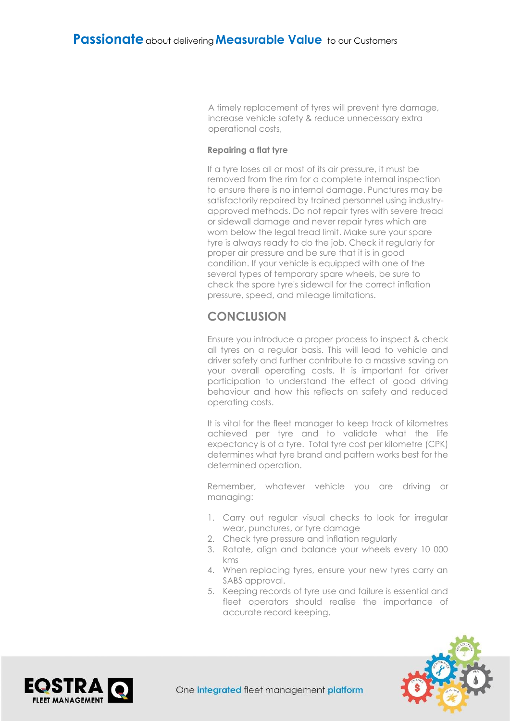A timely replacement of tyres will prevent tyre damage, increase vehicle safety & reduce unnecessary extra operational costs,

### **Repairing a flat tyre**

If a tyre loses all or most of its air pressure, it must be removed from the rim for a complete internal inspection to ensure there is no internal damage. Punctures may be satisfactorily repaired by trained personnel using industryapproved methods. Do not repair tyres with severe tread or sidewall damage and never repair tyres which are worn below the legal tread limit. Make sure your spare tyre is always ready to do the job. Check it regularly for proper air pressure and be sure that it is in good condition. If your vehicle is equipped with one of the several types of temporary spare wheels, be sure to check the spare tyre's sidewall for the correct inflation pressure, speed, and mileage limitations.

# **CONCLUSION**

Ensure you introduce a proper process to inspect & check all tyres on a regular basis. This will lead to vehicle and driver safety and further contribute to a massive saving on your overall operating costs. It is important for driver participation to understand the effect of good driving behaviour and how this reflects on safety and reduced operating costs.

It is vital for the fleet manager to keep track of kilometres achieved per tyre and to validate what the life expectancy is of a tyre. Total tyre cost per kilometre (CPK) determines what tyre brand and pattern works best for the determined operation.

Remember, whatever vehicle you are driving or managing:

- 1. Carry out regular visual checks to look for irregular wear, punctures, or tyre damage
- 2. Check tyre pressure and inflation regularly
- 3. Rotate, align and balance your wheels every 10 000 kms
- 4. When replacing tyres, ensure your new tyres carry an SABS approval.
- 5. Keeping records of tyre use and failure is essential and fleet operators should realise the importance of accurate record keeping.